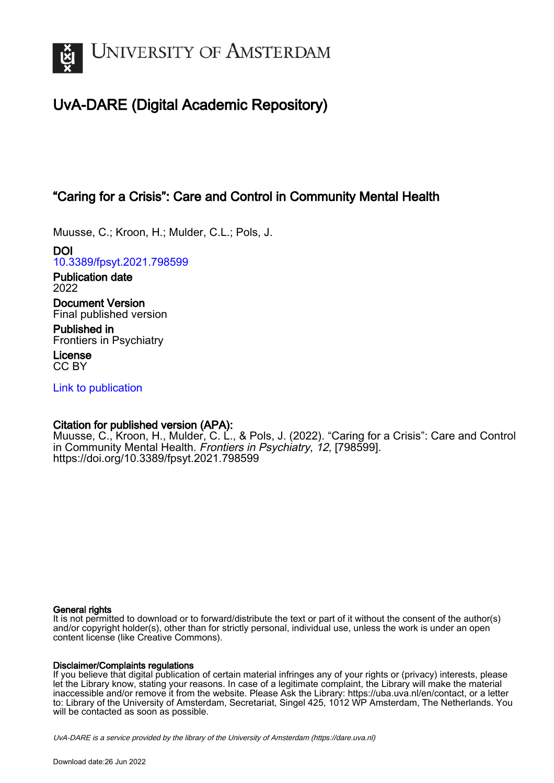

# UvA-DARE (Digital Academic Repository)

## "Caring for a Crisis": Care and Control in Community Mental Health

Muusse, C.; Kroon, H.; Mulder, C.L.; Pols, J.

DOI [10.3389/fpsyt.2021.798599](https://doi.org/10.3389/fpsyt.2021.798599)

Publication date 2022

Document Version Final published version

Published in Frontiers in Psychiatry

License CC BY

[Link to publication](https://dare.uva.nl/personal/pure/en/publications/caring-for-a-crisis-care-and-control-in-community-mental-health(dd287034-7a51-4045-b2af-b22ed316e563).html)

### Citation for published version (APA):

Muusse, C., Kroon, H., Mulder, C. L., & Pols, J. (2022). "Caring for a Crisis": Care and Control in Community Mental Health. Frontiers in Psychiatry, 12, [798599]. <https://doi.org/10.3389/fpsyt.2021.798599>

#### General rights

It is not permitted to download or to forward/distribute the text or part of it without the consent of the author(s) and/or copyright holder(s), other than for strictly personal, individual use, unless the work is under an open content license (like Creative Commons).

#### Disclaimer/Complaints regulations

If you believe that digital publication of certain material infringes any of your rights or (privacy) interests, please let the Library know, stating your reasons. In case of a legitimate complaint, the Library will make the material inaccessible and/or remove it from the website. Please Ask the Library: https://uba.uva.nl/en/contact, or a letter to: Library of the University of Amsterdam, Secretariat, Singel 425, 1012 WP Amsterdam, The Netherlands. You will be contacted as soon as possible.

UvA-DARE is a service provided by the library of the University of Amsterdam (http*s*://dare.uva.nl)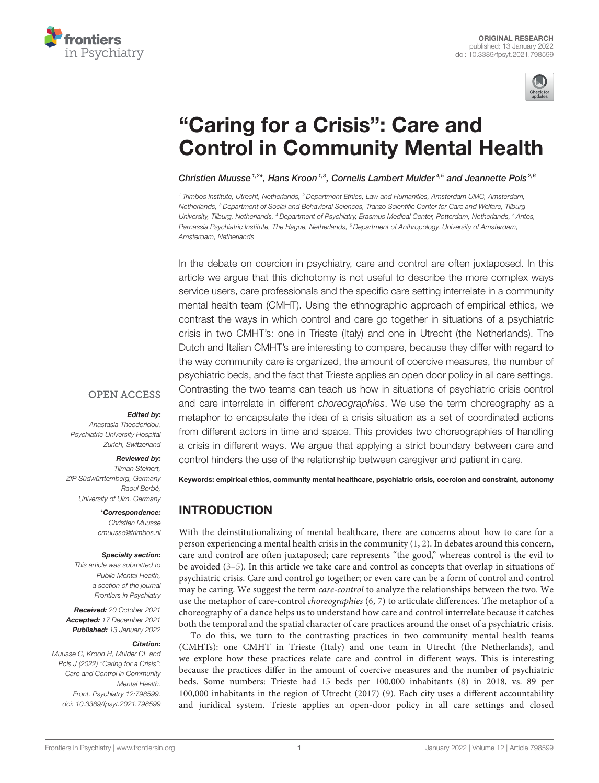



# "Caring for a Crisis": Care and [Control in Community Mental Health](https://www.frontiersin.org/articles/10.3389/fpsyt.2021.798599/full)

Christien Muusse<sup>1,2\*</sup>, Hans Kroon<sup>1,3</sup>, Cornelis Lambert Mulder<sup>4,5</sup> and Jeannette Pols<sup>2,6</sup>

<sup>1</sup> Trimbos Institute, Utrecht, Netherlands, <sup>2</sup> Department Ethics, Law and Humanities, Amsterdam UMC, Amsterdam, Netherlands, <sup>3</sup> Department of Social and Behavioral Sciences, Tranzo Scientific Center for Care and Welfare, Tilburg University, Tilburg, Netherlands, <sup>4</sup> Department of Psychiatry, Erasmus Medical Center, Rotterdam, Netherlands, <sup>5</sup> Antes, Parnassia Psychiatric Institute, The Hague, Netherlands, <sup>6</sup> Department of Anthropology, University of Amsterdam, Amsterdam, Netherlands

In the debate on coercion in psychiatry, care and control are often juxtaposed. In this article we argue that this dichotomy is not useful to describe the more complex ways service users, care professionals and the specific care setting interrelate in a community mental health team (CMHT). Using the ethnographic approach of empirical ethics, we contrast the ways in which control and care go together in situations of a psychiatric crisis in two CMHT's: one in Trieste (Italy) and one in Utrecht (the Netherlands). The Dutch and Italian CMHT's are interesting to compare, because they differ with regard to the way community care is organized, the amount of coercive measures, the number of psychiatric beds, and the fact that Trieste applies an open door policy in all care settings. Contrasting the two teams can teach us how in situations of psychiatric crisis control and care interrelate in different choreographies. We use the term choreography as a metaphor to encapsulate the idea of a crisis situation as a set of coordinated actions from different actors in time and space. This provides two choreographies of handling a crisis in different ways. We argue that applying a strict boundary between care and control hinders the use of the relationship between caregiver and patient in care.

#### **OPEN ACCESS**

#### Edited by:

Anastasia Theodoridou, Psychiatric University Hospital Zurich, Switzerland

#### Reviewed by:

Tilman Steinert, ZfP Südwürttemberg, Germany Raoul Borbé, University of Ulm, Germany

> \*Correspondence: Christien Muusse [cmuusse@trimbos.nl](mailto:cmuusse@trimbos.nl)

#### Specialty section:

This article was submitted to Public Mental Health, a section of the journal Frontiers in Psychiatry

Received: 20 October 2021 Accepted: 17 December 2021 Published: 13 January 2022

#### Citation:

Muusse C, Kroon H, Mulder CL and Pols J (2022) "Caring for a Crisis": Care and Control in Community Mental Health. Front. Psychiatry 12:798599. doi: [10.3389/fpsyt.2021.798599](https://doi.org/10.3389/fpsyt.2021.798599) Keywords: empirical ethics, community mental healthcare, psychiatric crisis, coercion and constraint, autonomy

### INTRODUCTION

With the deinstitutionalizing of mental healthcare, there are concerns about how to care for a person experiencing a mental health crisis in the community  $(1, 2)$  $(1, 2)$ . In debates around this concern, care and control are often juxtaposed; care represents "the good," whereas control is the evil to be avoided [\(3–](#page-11-2)[5\)](#page-11-3). In this article we take care and control as concepts that overlap in situations of psychiatric crisis. Care and control go together; or even care can be a form of control and control may be caring. We suggest the term care-control to analyze the relationships between the two. We use the metaphor of care-control *choreographies* [\(6,](#page-11-4) [7\)](#page-11-5) to articulate differences. The metaphor of a choreography of a dance helps us to understand how care and control interrelate because it catches both the temporal and the spatial character of care practices around the onset of a psychiatric crisis.

To do this, we turn to the contrasting practices in two community mental health teams (CMHTs): one CMHT in Trieste (Italy) and one team in Utrecht (the Netherlands), and we explore how these practices relate care and control in different ways. This is interesting because the practices differ in the amount of coercive measures and the number of psychiatric beds. Some numbers: Trieste had 15 beds per 100,000 inhabitants [\(8\)](#page-11-6) in 2018, vs. 89 per 100,000 inhabitants in the region of Utrecht (2017) [\(9\)](#page-11-7). Each city uses a different accountability and juridical system. Trieste applies an open-door policy in all care settings and closed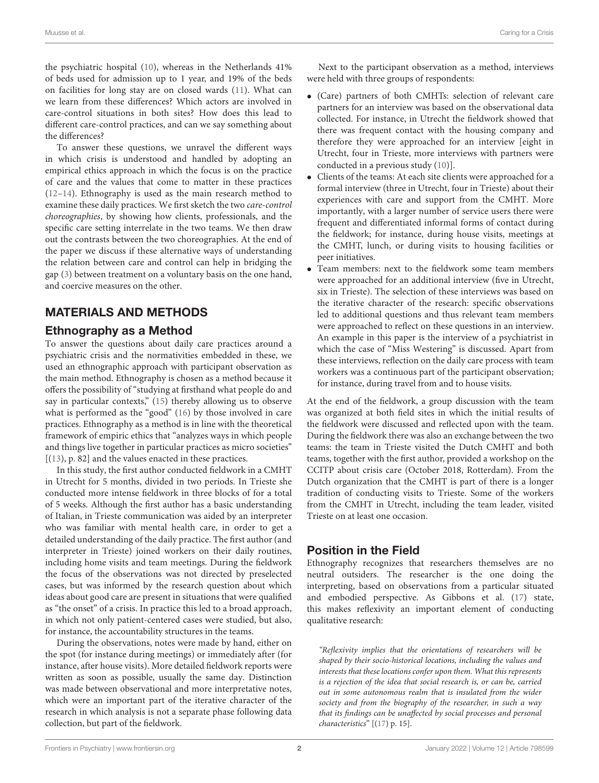the psychiatric hospital [\(10\)](#page-11-8), whereas in the Netherlands 41% of beds used for admission up to 1 year, and 19% of the beds on facilities for long stay are on closed wards [\(11\)](#page-11-9). What can we learn from these differences? Which actors are involved in care-control situations in both sites? How does this lead to different care-control practices, and can we say something about the differences?

To answer these questions, we unravel the different ways in which crisis is understood and handled by adopting an empirical ethics approach in which the focus is on the practice of care and the values that come to matter in these practices [\(12](#page-11-10)[–14\)](#page-11-11). Ethnography is used as the main research method to examine these daily practices. We first sketch the two care-control choreographies, by showing how clients, professionals, and the specific care setting interrelate in the two teams. We then draw out the contrasts between the two choreographies. At the end of the paper we discuss if these alternative ways of understanding the relation between care and control can help in bridging the gap [\(3\)](#page-11-2) between treatment on a voluntary basis on the one hand, and coercive measures on the other.

### MATERIALS AND METHODS

### Ethnography as a Method

To answer the questions about daily care practices around a psychiatric crisis and the normativities embedded in these, we used an ethnographic approach with participant observation as the main method. Ethnography is chosen as a method because it offers the possibility of "studying at firsthand what people do and say in particular contexts," [\(15\)](#page-11-12) thereby allowing us to observe what is performed as the "good" [\(16\)](#page-11-13) by those involved in care practices. Ethnography as a method is in line with the theoretical framework of empiric ethics that "analyzes ways in which people and things live together in particular practices as micro societies" [[\(13\)](#page-11-14), p. 82] and the values enacted in these practices.

In this study, the first author conducted fieldwork in a CMHT in Utrecht for 5 months, divided in two periods. In Trieste she conducted more intense fieldwork in three blocks of for a total of 5 weeks. Although the first author has a basic understanding of Italian, in Trieste communication was aided by an interpreter who was familiar with mental health care, in order to get a detailed understanding of the daily practice. The first author (and interpreter in Trieste) joined workers on their daily routines, including home visits and team meetings. During the fieldwork the focus of the observations was not directed by preselected cases, but was informed by the research question about which ideas about good care are present in situations that were qualified as "the onset" of a crisis. In practice this led to a broad approach, in which not only patient-centered cases were studied, but also, for instance, the accountability structures in the teams.

During the observations, notes were made by hand, either on the spot (for instance during meetings) or immediately after (for instance, after house visits). More detailed fieldwork reports were written as soon as possible, usually the same day. Distinction was made between observational and more interpretative notes, which were an important part of the iterative character of the research in which analysis is not a separate phase following data collection, but part of the fieldwork.

Next to the participant observation as a method, interviews were held with three groups of respondents:

- (Care) partners of both CMHTs: selection of relevant care partners for an interview was based on the observational data collected. For instance, in Utrecht the fieldwork showed that there was frequent contact with the housing company and therefore they were approached for an interview [eight in Utrecht, four in Trieste, more interviews with partners were conducted in a previous study [\(10\)](#page-11-8)].
- Clients of the teams: At each site clients were approached for a formal interview (three in Utrecht, four in Trieste) about their experiences with care and support from the CMHT. More importantly, with a larger number of service users there were frequent and differentiated informal forms of contact during the fieldwork; for instance, during house visits, meetings at the CMHT, lunch, or during visits to housing facilities or peer initiatives.
- Team members: next to the fieldwork some team members were approached for an additional interview (five in Utrecht, six in Trieste). The selection of these interviews was based on the iterative character of the research: specific observations led to additional questions and thus relevant team members were approached to reflect on these questions in an interview. An example in this paper is the interview of a psychiatrist in which the case of "Miss Westering" is discussed. Apart from these interviews, reflection on the daily care process with team workers was a continuous part of the participant observation; for instance, during travel from and to house visits.

At the end of the fieldwork, a group discussion with the team was organized at both field sites in which the initial results of the fieldwork were discussed and reflected upon with the team. During the fieldwork there was also an exchange between the two teams: the team in Trieste visited the Dutch CMHT and both teams, together with the first author, provided a workshop on the CCITP about crisis care (October 2018, Rotterdam). From the Dutch organization that the CMHT is part of there is a longer tradition of conducting visits to Trieste. Some of the workers from the CMHT in Utrecht, including the team leader, visited Trieste on at least one occasion.

### Position in the Field

Ethnography recognizes that researchers themselves are no neutral outsiders. The researcher is the one doing the interpreting, based on observations from a particular situated and embodied perspective. As Gibbons et al. [\(17\)](#page-11-15) state, this makes reflexivity an important element of conducting qualitative research:

"Reflexivity implies that the orientations of researchers will be shaped by their socio-historical locations, including the values and interests that these locations confer upon them. What this represents is a rejection of the idea that social research is, or can be, carried out in some autonomous realm that is insulated from the wider society and from the biography of the researcher, in such a way that its findings can be unaffected by social processes and personal characteristics" [[\(17\)](#page-11-15) p. 15].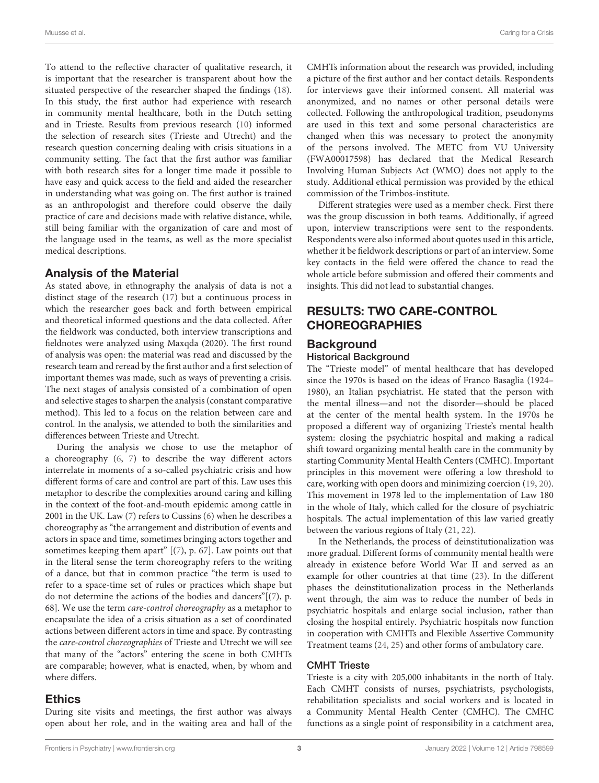To attend to the reflective character of qualitative research, it is important that the researcher is transparent about how the situated perspective of the researcher shaped the findings [\(18\)](#page-11-16). In this study, the first author had experience with research in community mental healthcare, both in the Dutch setting and in Trieste. Results from previous research [\(10\)](#page-11-8) informed the selection of research sites (Trieste and Utrecht) and the research question concerning dealing with crisis situations in a community setting. The fact that the first author was familiar with both research sites for a longer time made it possible to have easy and quick access to the field and aided the researcher in understanding what was going on. The first author is trained as an anthropologist and therefore could observe the daily practice of care and decisions made with relative distance, while, still being familiar with the organization of care and most of the language used in the teams, as well as the more specialist medical descriptions.

### Analysis of the Material

As stated above, in ethnography the analysis of data is not a distinct stage of the research [\(17\)](#page-11-15) but a continuous process in which the researcher goes back and forth between empirical and theoretical informed questions and the data collected. After the fieldwork was conducted, both interview transcriptions and fieldnotes were analyzed using Maxqda (2020). The first round of analysis was open: the material was read and discussed by the research team and reread by the first author and a first selection of important themes was made, such as ways of preventing a crisis. The next stages of analysis consisted of a combination of open and selective stages to sharpen the analysis (constant comparative method). This led to a focus on the relation between care and control. In the analysis, we attended to both the similarities and differences between Trieste and Utrecht.

During the analysis we chose to use the metaphor of a choreography [\(6,](#page-11-4) [7\)](#page-11-5) to describe the way different actors interrelate in moments of a so-called psychiatric crisis and how different forms of care and control are part of this. Law uses this metaphor to describe the complexities around caring and killing in the context of the foot-and-mouth epidemic among cattle in 2001 in the UK. Law [\(7\)](#page-11-5) refers to Cussins [\(6\)](#page-11-4) when he describes a choreography as "the arrangement and distribution of events and actors in space and time, sometimes bringing actors together and sometimes keeping them apart" [[\(7\)](#page-11-5), p. 67]. Law points out that in the literal sense the term choreography refers to the writing of a dance, but that in common practice "the term is used to refer to a space-time set of rules or practices which shape but do not determine the actions of the bodies and dancers"[[\(7\)](#page-11-5), p. 68]. We use the term care-control choreography as a metaphor to encapsulate the idea of a crisis situation as a set of coordinated actions between different actors in time and space. By contrasting the care-control choreographies of Trieste and Utrecht we will see that many of the "actors" entering the scene in both CMHTs are comparable; however, what is enacted, when, by whom and where differs.

### **Ethics**

During site visits and meetings, the first author was always open about her role, and in the waiting area and hall of the CMHTs information about the research was provided, including a picture of the first author and her contact details. Respondents for interviews gave their informed consent. All material was anonymized, and no names or other personal details were collected. Following the anthropological tradition, pseudonyms are used in this text and some personal characteristics are changed when this was necessary to protect the anonymity of the persons involved. The METC from VU University (FWA00017598) has declared that the Medical Research Involving Human Subjects Act (WMO) does not apply to the study. Additional ethical permission was provided by the ethical commission of the Trimbos-institute.

Different strategies were used as a member check. First there was the group discussion in both teams. Additionally, if agreed upon, interview transcriptions were sent to the respondents. Respondents were also informed about quotes used in this article, whether it be fieldwork descriptions or part of an interview. Some key contacts in the field were offered the chance to read the whole article before submission and offered their comments and insights. This did not lead to substantial changes.

### RESULTS: TWO CARE-CONTROL **CHOREOGRAPHIES**

#### **Background**

#### Historical Background

The "Trieste model" of mental healthcare that has developed since the 1970s is based on the ideas of Franco Basaglia (1924– 1980), an Italian psychiatrist. He stated that the person with the mental illness—and not the disorder—should be placed at the center of the mental health system. In the 1970s he proposed a different way of organizing Trieste's mental health system: closing the psychiatric hospital and making a radical shift toward organizing mental health care in the community by starting Community Mental Health Centers (CMHC). Important principles in this movement were offering a low threshold to care, working with open doors and minimizing coercion [\(19,](#page-11-17) [20\)](#page-11-18). This movement in 1978 led to the implementation of Law 180 in the whole of Italy, which called for the closure of psychiatric hospitals. The actual implementation of this law varied greatly between the various regions of Italy [\(21,](#page-11-19) [22\)](#page-11-20).

In the Netherlands, the process of deinstitutionalization was more gradual. Different forms of community mental health were already in existence before World War II and served as an example for other countries at that time [\(23\)](#page-11-21). In the different phases the deinstitutionalization process in the Netherlands went through, the aim was to reduce the number of beds in psychiatric hospitals and enlarge social inclusion, rather than closing the hospital entirely. Psychiatric hospitals now function in cooperation with CMHTs and Flexible Assertive Community Treatment teams [\(24,](#page-11-22) [25\)](#page-11-23) and other forms of ambulatory care.

#### CMHT Trieste

Trieste is a city with 205,000 inhabitants in the north of Italy. Each CMHT consists of nurses, psychiatrists, psychologists, rehabilitation specialists and social workers and is located in a Community Mental Health Center (CMHC). The CMHC functions as a single point of responsibility in a catchment area,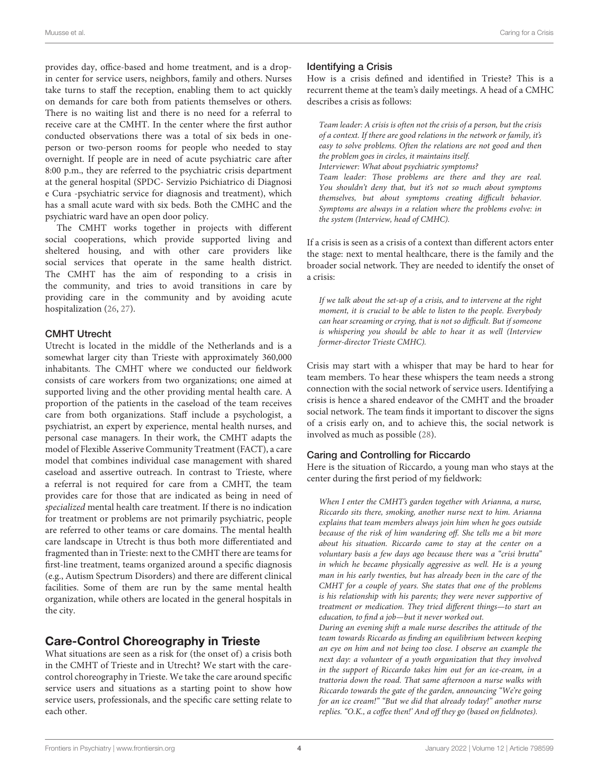provides day, office-based and home treatment, and is a dropin center for service users, neighbors, family and others. Nurses take turns to staff the reception, enabling them to act quickly on demands for care both from patients themselves or others. There is no waiting list and there is no need for a referral to receive care at the CMHT. In the center where the first author conducted observations there was a total of six beds in oneperson or two-person rooms for people who needed to stay overnight. If people are in need of acute psychiatric care after 8:00 p.m., they are referred to the psychiatric crisis department at the general hospital (SPDC- Servizio Psichiatrico di Diagnosi e Cura -psychiatric service for diagnosis and treatment), which has a small acute ward with six beds. Both the CMHC and the psychiatric ward have an open door policy.

The CMHT works together in projects with different social cooperations, which provide supported living and sheltered housing, and with other care providers like social services that operate in the same health district. The CMHT has the aim of responding to a crisis in the community, and tries to avoid transitions in care by providing care in the community and by avoiding acute hospitalization [\(26,](#page-11-24) [27\)](#page-11-25).

#### CMHT Utrecht

Utrecht is located in the middle of the Netherlands and is a somewhat larger city than Trieste with approximately 360,000 inhabitants. The CMHT where we conducted our fieldwork consists of care workers from two organizations; one aimed at supported living and the other providing mental health care. A proportion of the patients in the caseload of the team receives care from both organizations. Staff include a psychologist, a psychiatrist, an expert by experience, mental health nurses, and personal case managers. In their work, the CMHT adapts the model of Flexible Asserive Community Treatment (FACT), a care model that combines individual case management with shared caseload and assertive outreach. In contrast to Trieste, where a referral is not required for care from a CMHT, the team provides care for those that are indicated as being in need of specialized mental health care treatment. If there is no indication for treatment or problems are not primarily psychiatric, people are referred to other teams or care domains. The mental health care landscape in Utrecht is thus both more differentiated and fragmented than in Trieste: next to the CMHT there are teams for first-line treatment, teams organized around a specific diagnosis (e.g., Autism Spectrum Disorders) and there are different clinical facilities. Some of them are run by the same mental health organization, while others are located in the general hospitals in the city.

### Care-Control Choreography in Trieste

What situations are seen as a risk for (the onset of) a crisis both in the CMHT of Trieste and in Utrecht? We start with the carecontrol choreography in Trieste. We take the care around specific service users and situations as a starting point to show how service users, professionals, and the specific care setting relate to each other.

#### Identifying a Crisis

How is a crisis defined and identified in Trieste? This is a recurrent theme at the team's daily meetings. A head of a CMHC describes a crisis as follows:

Team leader: A crisis is often not the crisis of a person, but the crisis of a context. If there are good relations in the network or family, it's easy to solve problems. Often the relations are not good and then the problem goes in circles, it maintains itself. Interviewer: What about psychiatric symptoms? Team leader: Those problems are there and they are real. You shouldn't deny that, but it's not so much about symptoms themselves, but about symptoms creating difficult behavior. Symptoms are always in a relation where the problems evolve: in the system (Interview, head of CMHC).

If a crisis is seen as a crisis of a context than different actors enter the stage: next to mental healthcare, there is the family and the broader social network. They are needed to identify the onset of a crisis:

If we talk about the set-up of a crisis, and to intervene at the right moment, it is crucial to be able to listen to the people. Everybody can hear screaming or crying, that is not so difficult. But if someone is whispering you should be able to hear it as well (Interview former-director Trieste CMHC).

Crisis may start with a whisper that may be hard to hear for team members. To hear these whispers the team needs a strong connection with the social network of service users. Identifying a crisis is hence a shared endeavor of the CMHT and the broader social network. The team finds it important to discover the signs of a crisis early on, and to achieve this, the social network is involved as much as possible [\(28\)](#page-11-26).

#### Caring and Controlling for Riccardo

Here is the situation of Riccardo, a young man who stays at the center during the first period of my fieldwork:

When I enter the CMHT's garden together with Arianna, a nurse, Riccardo sits there, smoking, another nurse next to him. Arianna explains that team members always join him when he goes outside because of the risk of him wandering off. She tells me a bit more about his situation. Riccardo came to stay at the center on a voluntary basis a few days ago because there was a "crisi brutta" in which he became physically aggressive as well. He is a young man in his early twenties, but has already been in the care of the CMHT for a couple of years. She states that one of the problems is his relationship with his parents; they were never supportive of treatment or medication. They tried different things—to start an education, to find a job—but it never worked out.

During an evening shift a male nurse describes the attitude of the team towards Riccardo as finding an equilibrium between keeping an eye on him and not being too close. I observe an example the next day: a volunteer of a youth organization that they involved in the support of Riccardo takes him out for an ice-cream, in a trattoria down the road. That same afternoon a nurse walks with Riccardo towards the gate of the garden, announcing "We're going for an ice cream!" "But we did that already today!" another nurse replies. "O.K., a coffee then!' And off they go (based on fieldnotes).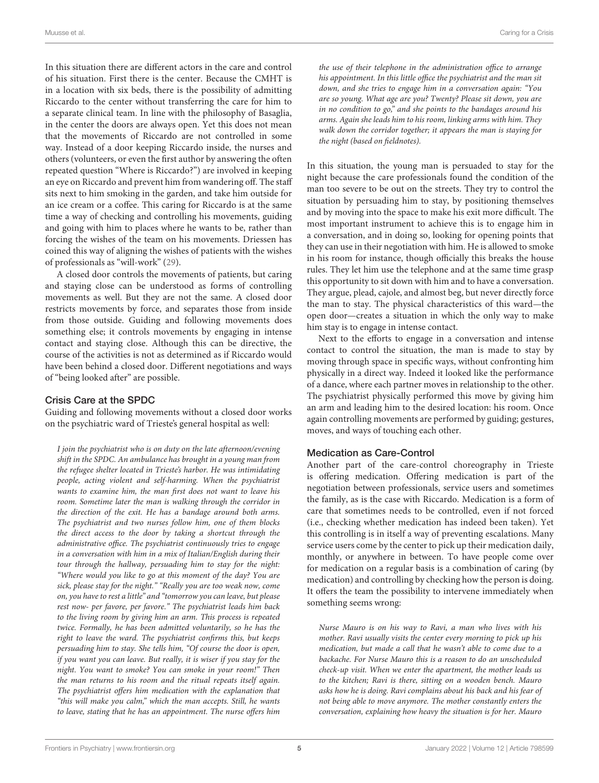In this situation there are different actors in the care and control of his situation. First there is the center. Because the CMHT is in a location with six beds, there is the possibility of admitting Riccardo to the center without transferring the care for him to a separate clinical team. In line with the philosophy of Basaglia, in the center the doors are always open. Yet this does not mean that the movements of Riccardo are not controlled in some way. Instead of a door keeping Riccardo inside, the nurses and others (volunteers, or even the first author by answering the often repeated question "Where is Riccardo?") are involved in keeping an eye on Riccardo and prevent him from wandering off. The staff sits next to him smoking in the garden, and take him outside for an ice cream or a coffee. This caring for Riccardo is at the same time a way of checking and controlling his movements, guiding and going with him to places where he wants to be, rather than forcing the wishes of the team on his movements. Driessen has coined this way of aligning the wishes of patients with the wishes of professionals as "will-work" [\(29\)](#page-11-27).

A closed door controls the movements of patients, but caring and staying close can be understood as forms of controlling movements as well. But they are not the same. A closed door restricts movements by force, and separates those from inside from those outside. Guiding and following movements does something else; it controls movements by engaging in intense contact and staying close. Although this can be directive, the course of the activities is not as determined as if Riccardo would have been behind a closed door. Different negotiations and ways of "being looked after" are possible.

#### Crisis Care at the SPDC

Guiding and following movements without a closed door works on the psychiatric ward of Trieste's general hospital as well:

I join the psychiatrist who is on duty on the late afternoon/evening shift in the SPDC. An ambulance has brought in a young man from the refugee shelter located in Trieste's harbor. He was intimidating people, acting violent and self-harming. When the psychiatrist wants to examine him, the man first does not want to leave his room. Sometime later the man is walking through the corridor in the direction of the exit. He has a bandage around both arms. The psychiatrist and two nurses follow him, one of them blocks the direct access to the door by taking a shortcut through the administrative office. The psychiatrist continuously tries to engage in a conversation with him in a mix of Italian/English during their tour through the hallway, persuading him to stay for the night: "Where would you like to go at this moment of the day? You are sick, please stay for the night." "Really you are too weak now, come on, you have to rest a little" and "tomorrow you can leave, but please rest now- per favore, per favore." The psychiatrist leads him back to the living room by giving him an arm. This process is repeated twice. Formally, he has been admitted voluntarily, so he has the right to leave the ward. The psychiatrist confirms this, but keeps persuading him to stay. She tells him, "Of course the door is open, if you want you can leave. But really, it is wiser if you stay for the night. You want to smoke? You can smoke in your room!" Then the man returns to his room and the ritual repeats itself again. The psychiatrist offers him medication with the explanation that "this will make you calm," which the man accepts. Still, he wants to leave, stating that he has an appointment. The nurse offers him the use of their telephone in the administration office to arrange his appointment. In this little office the psychiatrist and the man sit down, and she tries to engage him in a conversation again: "You are so young. What age are you? Twenty? Please sit down, you are in no condition to go," and she points to the bandages around his arms. Again she leads him to his room, linking arms with him. They walk down the corridor together; it appears the man is staying for the night (based on fieldnotes).

In this situation, the young man is persuaded to stay for the night because the care professionals found the condition of the man too severe to be out on the streets. They try to control the situation by persuading him to stay, by positioning themselves and by moving into the space to make his exit more difficult. The most important instrument to achieve this is to engage him in a conversation, and in doing so, looking for opening points that they can use in their negotiation with him. He is allowed to smoke in his room for instance, though officially this breaks the house rules. They let him use the telephone and at the same time grasp this opportunity to sit down with him and to have a conversation. They argue, plead, cajole, and almost beg, but never directly force the man to stay. The physical characteristics of this ward—the open door—creates a situation in which the only way to make him stay is to engage in intense contact.

Next to the efforts to engage in a conversation and intense contact to control the situation, the man is made to stay by moving through space in specific ways, without confronting him physically in a direct way. Indeed it looked like the performance of a dance, where each partner moves in relationship to the other. The psychiatrist physically performed this move by giving him an arm and leading him to the desired location: his room. Once again controlling movements are performed by guiding; gestures, moves, and ways of touching each other.

#### Medication as Care-Control

Another part of the care-control choreography in Trieste is offering medication. Offering medication is part of the negotiation between professionals, service users and sometimes the family, as is the case with Riccardo. Medication is a form of care that sometimes needs to be controlled, even if not forced (i.e., checking whether medication has indeed been taken). Yet this controlling is in itself a way of preventing escalations. Many service users come by the center to pick up their medication daily, monthly, or anywhere in between. To have people come over for medication on a regular basis is a combination of caring (by medication) and controlling by checking how the person is doing. It offers the team the possibility to intervene immediately when something seems wrong:

Nurse Mauro is on his way to Ravi, a man who lives with his mother. Ravi usually visits the center every morning to pick up his medication, but made a call that he wasn't able to come due to a backache. For Nurse Mauro this is a reason to do an unscheduled check-up visit. When we enter the apartment, the mother leads us to the kitchen; Ravi is there, sitting on a wooden bench. Mauro asks how he is doing. Ravi complains about his back and his fear of not being able to move anymore. The mother constantly enters the conversation, explaining how heavy the situation is for her. Mauro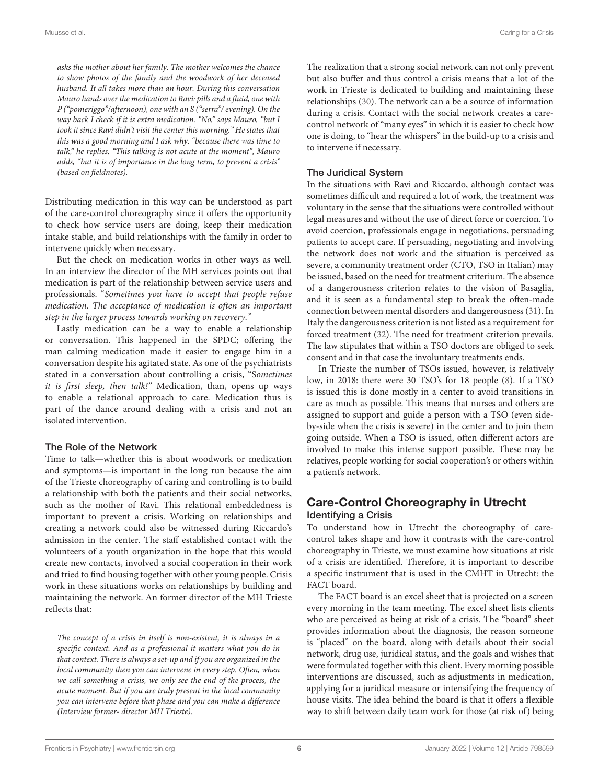asks the mother about her family. The mother welcomes the chance to show photos of the family and the woodwork of her deceased husband. It all takes more than an hour. During this conversation Mauro hands over the medication to Ravi: pills and a fluid, one with P ("pomeriggo"/afternoon), one with an S ("serra"/ evening). On the way back I check if it is extra medication. "No," says Mauro, "but I took it since Ravi didn't visit the center this morning." He states that this was a good morning and I ask why. "because there was time to talk," he replies. "This talking is not acute at the moment", Mauro adds, "but it is of importance in the long term, to prevent a crisis" (based on fieldnotes).

Distributing medication in this way can be understood as part of the care-control choreography since it offers the opportunity to check how service users are doing, keep their medication intake stable, and build relationships with the family in order to intervene quickly when necessary.

But the check on medication works in other ways as well. In an interview the director of the MH services points out that medication is part of the relationship between service users and professionals. "Sometimes you have to accept that people refuse medication. The acceptance of medication is often an important step in the larger process towards working on recovery."

Lastly medication can be a way to enable a relationship or conversation. This happened in the SPDC; offering the man calming medication made it easier to engage him in a conversation despite his agitated state. As one of the psychiatrists stated in a conversation about controlling a crisis, "Sometimes it is first sleep, then talk!" Medication, than, opens up ways to enable a relational approach to care. Medication thus is part of the dance around dealing with a crisis and not an isolated intervention.

#### The Role of the Network

Time to talk—whether this is about woodwork or medication and symptoms—is important in the long run because the aim of the Trieste choreography of caring and controlling is to build a relationship with both the patients and their social networks, such as the mother of Ravi. This relational embeddedness is important to prevent a crisis. Working on relationships and creating a network could also be witnessed during Riccardo's admission in the center. The staff established contact with the volunteers of a youth organization in the hope that this would create new contacts, involved a social cooperation in their work and tried to find housing together with other young people. Crisis work in these situations works on relationships by building and maintaining the network. An former director of the MH Trieste reflects that:

The concept of a crisis in itself is non-existent, it is always in a specific context. And as a professional it matters what you do in that context. There is always a set-up and if you are organized in the local community then you can intervene in every step. Often, when we call something a crisis, we only see the end of the process, the acute moment. But if you are truly present in the local community you can intervene before that phase and you can make a difference (Interview former- director MH Trieste).

The realization that a strong social network can not only prevent but also buffer and thus control a crisis means that a lot of the work in Trieste is dedicated to building and maintaining these relationships [\(30\)](#page-11-28). The network can a be a source of information during a crisis. Contact with the social network creates a carecontrol network of "many eyes" in which it is easier to check how one is doing, to "hear the whispers" in the build-up to a crisis and to intervene if necessary.

#### The Juridical System

In the situations with Ravi and Riccardo, although contact was sometimes difficult and required a lot of work, the treatment was voluntary in the sense that the situations were controlled without legal measures and without the use of direct force or coercion. To avoid coercion, professionals engage in negotiations, persuading patients to accept care. If persuading, negotiating and involving the network does not work and the situation is perceived as severe, a community treatment order (CTO, TSO in Italian) may be issued, based on the need for treatment criterium. The absence of a dangerousness criterion relates to the vision of Basaglia, and it is seen as a fundamental step to break the often-made connection between mental disorders and dangerousness [\(31\)](#page-11-29). In Italy the dangerousness criterion is not listed as a requirement for forced treatment [\(32\)](#page-12-0). The need for treatment criterion prevails. The law stipulates that within a TSO doctors are obliged to seek consent and in that case the involuntary treatments ends.

In Trieste the number of TSOs issued, however, is relatively low, in 2018: there were 30 TSO's for 18 people [\(8\)](#page-11-6). If a TSO is issued this is done mostly in a center to avoid transitions in care as much as possible. This means that nurses and others are assigned to support and guide a person with a TSO (even sideby-side when the crisis is severe) in the center and to join them going outside. When a TSO is issued, often different actors are involved to make this intense support possible. These may be relatives, people working for social cooperation's or others within a patient's network.

### Care-Control Choreography in Utrecht Identifying a Crisis

To understand how in Utrecht the choreography of carecontrol takes shape and how it contrasts with the care-control choreography in Trieste, we must examine how situations at risk of a crisis are identified. Therefore, it is important to describe a specific instrument that is used in the CMHT in Utrecht: the FACT board.

The FACT board is an excel sheet that is projected on a screen every morning in the team meeting. The excel sheet lists clients who are perceived as being at risk of a crisis. The "board" sheet provides information about the diagnosis, the reason someone is "placed" on the board, along with details about their social network, drug use, juridical status, and the goals and wishes that were formulated together with this client. Every morning possible interventions are discussed, such as adjustments in medication, applying for a juridical measure or intensifying the frequency of house visits. The idea behind the board is that it offers a flexible way to shift between daily team work for those (at risk of) being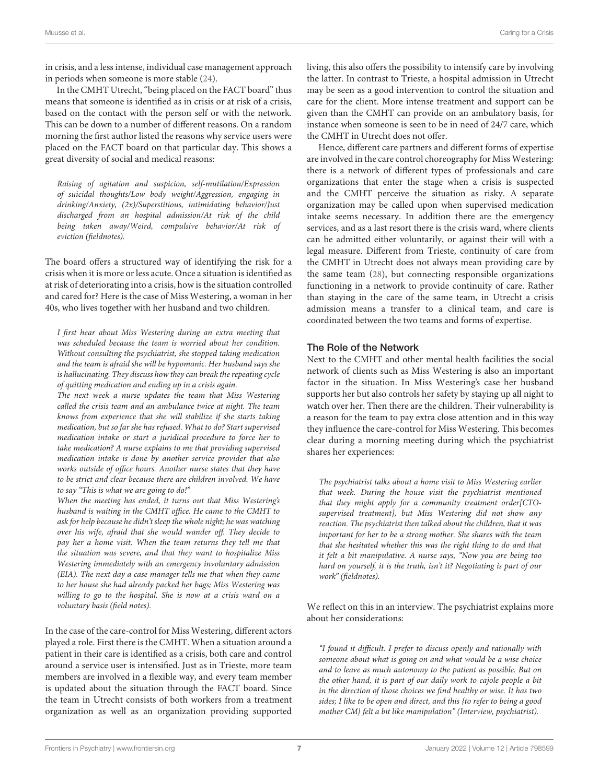in crisis, and a less intense, individual case management approach in periods when someone is more stable [\(24\)](#page-11-22).

In the CMHT Utrecht, "being placed on the FACT board" thus means that someone is identified as in crisis or at risk of a crisis, based on the contact with the person self or with the network. This can be down to a number of different reasons. On a random morning the first author listed the reasons why service users were placed on the FACT board on that particular day. This shows a great diversity of social and medical reasons:

Raising of agitation and suspicion, self-mutilation/Expression of suicidal thoughts/Low body weight/Aggression, engaging in drinking/Anxiety, (2x)/Superstitious, intimidating behavior/Just discharged from an hospital admission/At risk of the child being taken away/Weird, compulsive behavior/At risk of eviction (fieldnotes).

The board offers a structured way of identifying the risk for a crisis when it is more or less acute. Once a situation is identified as at risk of deteriorating into a crisis, how is the situation controlled and cared for? Here is the case of Miss Westering, a woman in her 40s, who lives together with her husband and two children.

I first hear about Miss Westering during an extra meeting that was scheduled because the team is worried about her condition. Without consulting the psychiatrist, she stopped taking medication and the team is afraid she will be hypomanic. Her husband says she is hallucinating. They discuss how they can break the repeating cycle of quitting medication and ending up in a crisis again.

The next week a nurse updates the team that Miss Westering called the crisis team and an ambulance twice at night. The team knows from experience that she will stabilize if she starts taking medication, but so far she has refused. What to do? Start supervised medication intake or start a juridical procedure to force her to take medication? A nurse explains to me that providing supervised medication intake is done by another service provider that also works outside of office hours. Another nurse states that they have to be strict and clear because there are children involved. We have to say "This is what we are going to do!"

When the meeting has ended, it turns out that Miss Westering's husband is waiting in the CMHT office. He came to the CMHT to ask for help because he didn't sleep the whole night; he was watching over his wife, afraid that she would wander off. They decide to pay her a home visit. When the team returns they tell me that the situation was severe, and that they want to hospitalize Miss Westering immediately with an emergency involuntary admission (EIA). The next day a case manager tells me that when they came to her house she had already packed her bags; Miss Westering was willing to go to the hospital. She is now at a crisis ward on a voluntary basis (field notes).

In the case of the care-control for Miss Westering, different actors played a role. First there is the CMHT. When a situation around a patient in their care is identified as a crisis, both care and control around a service user is intensified. Just as in Trieste, more team members are involved in a flexible way, and every team member is updated about the situation through the FACT board. Since the team in Utrecht consists of both workers from a treatment organization as well as an organization providing supported living, this also offers the possibility to intensify care by involving the latter. In contrast to Trieste, a hospital admission in Utrecht may be seen as a good intervention to control the situation and care for the client. More intense treatment and support can be given than the CMHT can provide on an ambulatory basis, for instance when someone is seen to be in need of 24/7 care, which the CMHT in Utrecht does not offer.

Hence, different care partners and different forms of expertise are involved in the care control choreography for Miss Westering: there is a network of different types of professionals and care organizations that enter the stage when a crisis is suspected and the CMHT perceive the situation as risky. A separate organization may be called upon when supervised medication intake seems necessary. In addition there are the emergency services, and as a last resort there is the crisis ward, where clients can be admitted either voluntarily, or against their will with a legal measure. Different from Trieste, continuity of care from the CMHT in Utrecht does not always mean providing care by the same team [\(28\)](#page-11-26), but connecting responsible organizations functioning in a network to provide continuity of care. Rather than staying in the care of the same team, in Utrecht a crisis admission means a transfer to a clinical team, and care is coordinated between the two teams and forms of expertise.

#### The Role of the Network

Next to the CMHT and other mental health facilities the social network of clients such as Miss Westering is also an important factor in the situation. In Miss Westering's case her husband supports her but also controls her safety by staying up all night to watch over her. Then there are the children. Their vulnerability is a reason for the team to pay extra close attention and in this way they influence the care-control for Miss Westering. This becomes clear during a morning meeting during which the psychiatrist shares her experiences:

The psychiatrist talks about a home visit to Miss Westering earlier that week. During the house visit the psychiatrist mentioned that they might apply for a community treatment order[CTOsupervised treatment], but Miss Westering did not show any reaction. The psychiatrist then talked about the children, that it was important for her to be a strong mother. She shares with the team that she hesitated whether this was the right thing to do and that it felt a bit manipulative. A nurse says, "Now you are being too hard on yourself, it is the truth, isn't it? Negotiating is part of our work" (fieldnotes).

We reflect on this in an interview. The psychiatrist explains more about her considerations:

"I found it difficult. I prefer to discuss openly and rationally with someone about what is going on and what would be a wise choice and to leave as much autonomy to the patient as possible. But on the other hand, it is part of our daily work to cajole people a bit in the direction of those choices we find healthy or wise. It has two sides; I like to be open and direct, and this {to refer to being a good mother CM} felt a bit like manipulation" (Interview, psychiatrist).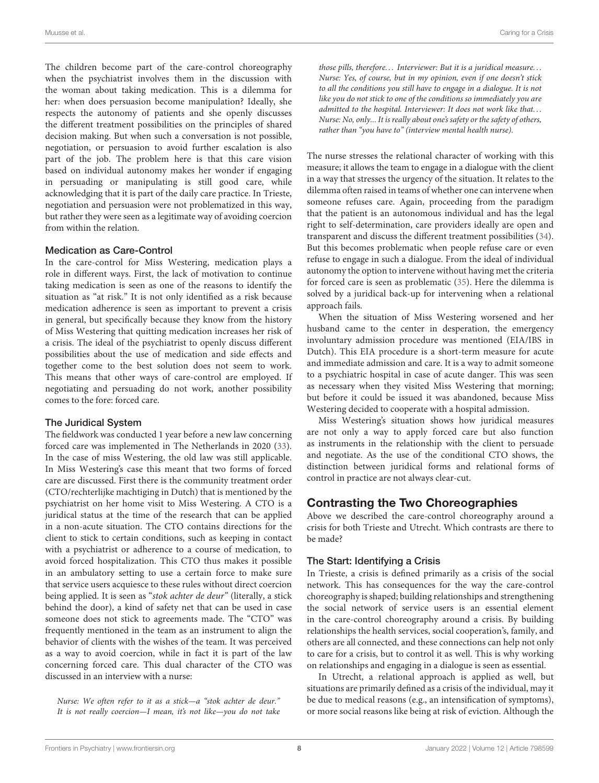The children become part of the care-control choreography when the psychiatrist involves them in the discussion with the woman about taking medication. This is a dilemma for her: when does persuasion become manipulation? Ideally, she respects the autonomy of patients and she openly discusses the different treatment possibilities on the principles of shared decision making. But when such a conversation is not possible, negotiation, or persuasion to avoid further escalation is also part of the job. The problem here is that this care vision based on individual autonomy makes her wonder if engaging in persuading or manipulating is still good care, while acknowledging that it is part of the daily care practice. In Trieste, negotiation and persuasion were not problematized in this way, but rather they were seen as a legitimate way of avoiding coercion from within the relation.

#### Medication as Care-Control

In the care-control for Miss Westering, medication plays a role in different ways. First, the lack of motivation to continue taking medication is seen as one of the reasons to identify the situation as "at risk." It is not only identified as a risk because medication adherence is seen as important to prevent a crisis in general, but specifically because they know from the history of Miss Westering that quitting medication increases her risk of a crisis. The ideal of the psychiatrist to openly discuss different possibilities about the use of medication and side effects and together come to the best solution does not seem to work. This means that other ways of care-control are employed. If negotiating and persuading do not work, another possibility comes to the fore: forced care.

#### The Juridical System

The fieldwork was conducted 1 year before a new law concerning forced care was implemented in The Netherlands in 2020 [\(33\)](#page-12-1). In the case of miss Westering, the old law was still applicable. In Miss Westering's case this meant that two forms of forced care are discussed. First there is the community treatment order (CTO/rechterlijke machtiging in Dutch) that is mentioned by the psychiatrist on her home visit to Miss Westering. A CTO is a juridical status at the time of the research that can be applied in a non-acute situation. The CTO contains directions for the client to stick to certain conditions, such as keeping in contact with a psychiatrist or adherence to a course of medication, to avoid forced hospitalization. This CTO thus makes it possible in an ambulatory setting to use a certain force to make sure that service users acquiesce to these rules without direct coercion being applied. It is seen as "stok achter de deur" (literally, a stick behind the door), a kind of safety net that can be used in case someone does not stick to agreements made. The "CTO" was frequently mentioned in the team as an instrument to align the behavior of clients with the wishes of the team. It was perceived as a way to avoid coercion, while in fact it is part of the law concerning forced care. This dual character of the CTO was discussed in an interview with a nurse:

Nurse: We often refer to it as a stick—a "stok achter de deur." It is not really coercion-I mean, it's not like-you do not take those pills, therefore... Interviewer: But it is a juridical measure... Nurse: Yes, of course, but in my opinion, even if one doesn't stick to all the conditions you still have to engage in a dialogue. It is not like you do not stick to one of the conditions so immediately you are admitted to the hospital. Interviewer: It does not work like that. . . Nurse: No, only... It is really about one's safety or the safety of others, rather than "you have to" (interview mental health nurse).

The nurse stresses the relational character of working with this measure; it allows the team to engage in a dialogue with the client in a way that stresses the urgency of the situation. It relates to the dilemma often raised in teams of whether one can intervene when someone refuses care. Again, proceeding from the paradigm that the patient is an autonomous individual and has the legal right to self-determination, care providers ideally are open and transparent and discuss the different treatment possibilities [\(34\)](#page-12-2). But this becomes problematic when people refuse care or even refuse to engage in such a dialogue. From the ideal of individual autonomy the option to intervene without having met the criteria for forced care is seen as problematic [\(35\)](#page-12-3). Here the dilemma is solved by a juridical back-up for intervening when a relational approach fails.

When the situation of Miss Westering worsened and her husband came to the center in desperation, the emergency involuntary admission procedure was mentioned (EIA/IBS in Dutch). This EIA procedure is a short-term measure for acute and immediate admission and care. It is a way to admit someone to a psychiatric hospital in case of acute danger. This was seen as necessary when they visited Miss Westering that morning; but before it could be issued it was abandoned, because Miss Westering decided to cooperate with a hospital admission.

Miss Westering's situation shows how juridical measures are not only a way to apply forced care but also function as instruments in the relationship with the client to persuade and negotiate. As the use of the conditional CTO shows, the distinction between juridical forms and relational forms of control in practice are not always clear-cut.

### Contrasting the Two Choreographies

Above we described the care-control choreography around a crisis for both Trieste and Utrecht. Which contrasts are there to be made?

#### The Start: Identifying a Crisis

In Trieste, a crisis is defined primarily as a crisis of the social network. This has consequences for the way the care-control choreography is shaped; building relationships and strengthening the social network of service users is an essential element in the care-control choreography around a crisis. By building relationships the health services, social cooperation's, family, and others are all connected, and these connections can help not only to care for a crisis, but to control it as well. This is why working on relationships and engaging in a dialogue is seen as essential.

In Utrecht, a relational approach is applied as well, but situations are primarily defined as a crisis of the individual, may it be due to medical reasons (e.g., an intensification of symptoms), or more social reasons like being at risk of eviction. Although the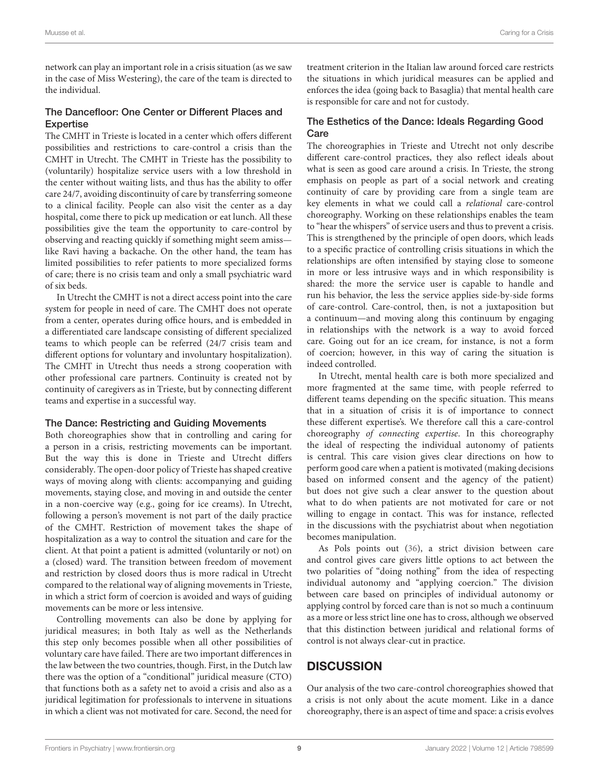network can play an important role in a crisis situation (as we saw in the case of Miss Westering), the care of the team is directed to the individual.

#### The Dancefloor: One Center or Different Places and **Expertise**

The CMHT in Trieste is located in a center which offers different possibilities and restrictions to care-control a crisis than the CMHT in Utrecht. The CMHT in Trieste has the possibility to (voluntarily) hospitalize service users with a low threshold in the center without waiting lists, and thus has the ability to offer care 24/7, avoiding discontinuity of care by transferring someone to a clinical facility. People can also visit the center as a day hospital, come there to pick up medication or eat lunch. All these possibilities give the team the opportunity to care-control by observing and reacting quickly if something might seem amiss like Ravi having a backache. On the other hand, the team has limited possibilities to refer patients to more specialized forms of care; there is no crisis team and only a small psychiatric ward of six beds.

In Utrecht the CMHT is not a direct access point into the care system for people in need of care. The CMHT does not operate from a center, operates during office hours, and is embedded in a differentiated care landscape consisting of different specialized teams to which people can be referred (24/7 crisis team and different options for voluntary and involuntary hospitalization). The CMHT in Utrecht thus needs a strong cooperation with other professional care partners. Continuity is created not by continuity of caregivers as in Trieste, but by connecting different teams and expertise in a successful way.

#### The Dance: Restricting and Guiding Movements

Both choreographies show that in controlling and caring for a person in a crisis, restricting movements can be important. But the way this is done in Trieste and Utrecht differs considerably. The open-door policy of Trieste has shaped creative ways of moving along with clients: accompanying and guiding movements, staying close, and moving in and outside the center in a non-coercive way (e.g., going for ice creams). In Utrecht, following a person's movement is not part of the daily practice of the CMHT. Restriction of movement takes the shape of hospitalization as a way to control the situation and care for the client. At that point a patient is admitted (voluntarily or not) on a (closed) ward. The transition between freedom of movement and restriction by closed doors thus is more radical in Utrecht compared to the relational way of aligning movements in Trieste, in which a strict form of coercion is avoided and ways of guiding movements can be more or less intensive.

Controlling movements can also be done by applying for juridical measures; in both Italy as well as the Netherlands this step only becomes possible when all other possibilities of voluntary care have failed. There are two important differences in the law between the two countries, though. First, in the Dutch law there was the option of a "conditional" juridical measure (CTO) that functions both as a safety net to avoid a crisis and also as a juridical legitimation for professionals to intervene in situations in which a client was not motivated for care. Second, the need for treatment criterion in the Italian law around forced care restricts the situations in which juridical measures can be applied and enforces the idea (going back to Basaglia) that mental health care is responsible for care and not for custody.

#### The Esthetics of the Dance: Ideals Regarding Good **Care**

The choreographies in Trieste and Utrecht not only describe different care-control practices, they also reflect ideals about what is seen as good care around a crisis. In Trieste, the strong emphasis on people as part of a social network and creating continuity of care by providing care from a single team are key elements in what we could call a relational care-control choreography. Working on these relationships enables the team to "hear the whispers" of service users and thus to prevent a crisis. This is strengthened by the principle of open doors, which leads to a specific practice of controlling crisis situations in which the relationships are often intensified by staying close to someone in more or less intrusive ways and in which responsibility is shared: the more the service user is capable to handle and run his behavior, the less the service applies side-by-side forms of care-control. Care-control, then, is not a juxtaposition but a continuum—and moving along this continuum by engaging in relationships with the network is a way to avoid forced care. Going out for an ice cream, for instance, is not a form of coercion; however, in this way of caring the situation is indeed controlled.

In Utrecht, mental health care is both more specialized and more fragmented at the same time, with people referred to different teams depending on the specific situation. This means that in a situation of crisis it is of importance to connect these different expertise's. We therefore call this a care-control choreography of connecting expertise. In this choreography the ideal of respecting the individual autonomy of patients is central. This care vision gives clear directions on how to perform good care when a patient is motivated (making decisions based on informed consent and the agency of the patient) but does not give such a clear answer to the question about what to do when patients are not motivated for care or not willing to engage in contact. This was for instance, reflected in the discussions with the psychiatrist about when negotiation becomes manipulation.

As Pols points out [\(36\)](#page-12-4), a strict division between care and control gives care givers little options to act between the two polarities of "doing nothing" from the idea of respecting individual autonomy and "applying coercion." The division between care based on principles of individual autonomy or applying control by forced care than is not so much a continuum as a more or less strict line one has to cross, although we observed that this distinction between juridical and relational forms of control is not always clear-cut in practice.

### **DISCUSSION**

Our analysis of the two care-control choreographies showed that a crisis is not only about the acute moment. Like in a dance choreography, there is an aspect of time and space: a crisis evolves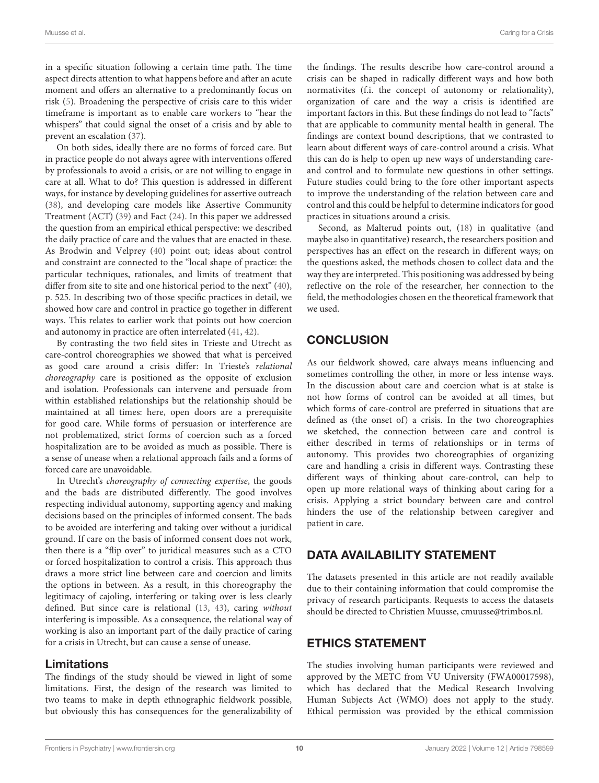in a specific situation following a certain time path. The time aspect directs attention to what happens before and after an acute moment and offers an alternative to a predominantly focus on risk [\(5\)](#page-11-3). Broadening the perspective of crisis care to this wider timeframe is important as to enable care workers to "hear the whispers" that could signal the onset of a crisis and by able to prevent an escalation [\(37\)](#page-12-5).

On both sides, ideally there are no forms of forced care. But in practice people do not always agree with interventions offered by professionals to avoid a crisis, or are not willing to engage in care at all. What to do? This question is addressed in different ways, for instance by developing guidelines for assertive outreach [\(38\)](#page-12-6), and developing care models like Assertive Community Treatment (ACT) [\(39\)](#page-12-7) and Fact [\(24\)](#page-11-22). In this paper we addressed the question from an empirical ethical perspective: we described the daily practice of care and the values that are enacted in these. As Brodwin and Velprey [\(40\)](#page-12-8) point out; ideas about control and constraint are connected to the "local shape of practice: the particular techniques, rationales, and limits of treatment that differ from site to site and one historical period to the next" [\(40\)](#page-12-8), p. 525. In describing two of those specific practices in detail, we showed how care and control in practice go together in different ways. This relates to earlier work that points out how coercion and autonomy in practice are often interrelated [\(41,](#page-12-9) [42\)](#page-12-10).

By contrasting the two field sites in Trieste and Utrecht as care-control choreographies we showed that what is perceived as good care around a crisis differ: In Trieste's relational choreography care is positioned as the opposite of exclusion and isolation. Professionals can intervene and persuade from within established relationships but the relationship should be maintained at all times: here, open doors are a prerequisite for good care. While forms of persuasion or interference are not problematized, strict forms of coercion such as a forced hospitalization are to be avoided as much as possible. There is a sense of unease when a relational approach fails and a forms of forced care are unavoidable.

In Utrecht's choreography of connecting expertise, the goods and the bads are distributed differently. The good involves respecting individual autonomy, supporting agency and making decisions based on the principles of informed consent. The bads to be avoided are interfering and taking over without a juridical ground. If care on the basis of informed consent does not work, then there is a "flip over" to juridical measures such as a CTO or forced hospitalization to control a crisis. This approach thus draws a more strict line between care and coercion and limits the options in between. As a result, in this choreography the legitimacy of cajoling, interfering or taking over is less clearly defined. But since care is relational [\(13,](#page-11-14) [43\)](#page-12-11), caring without interfering is impossible. As a consequence, the relational way of working is also an important part of the daily practice of caring for a crisis in Utrecht, but can cause a sense of unease.

### Limitations

The findings of the study should be viewed in light of some limitations. First, the design of the research was limited to two teams to make in depth ethnographic fieldwork possible, but obviously this has consequences for the generalizability of the findings. The results describe how care-control around a crisis can be shaped in radically different ways and how both normativites (f.i. the concept of autonomy or relationality), organization of care and the way a crisis is identified are important factors in this. But these findings do not lead to "facts" that are applicable to community mental health in general. The findings are context bound descriptions, that we contrasted to learn about different ways of care-control around a crisis. What this can do is help to open up new ways of understanding careand control and to formulate new questions in other settings. Future studies could bring to the fore other important aspects to improve the understanding of the relation between care and control and this could be helpful to determine indicators for good practices in situations around a crisis.

Second, as Malterud points out, [\(18\)](#page-11-16) in qualitative (and maybe also in quantitative) research, the researchers position and perspectives has an effect on the research in different ways; on the questions asked, the methods chosen to collect data and the way they are interpreted. This positioning was addressed by being reflective on the role of the researcher, her connection to the field, the methodologies chosen en the theoretical framework that we used.

### **CONCLUSION**

As our fieldwork showed, care always means influencing and sometimes controlling the other, in more or less intense ways. In the discussion about care and coercion what is at stake is not how forms of control can be avoided at all times, but which forms of care-control are preferred in situations that are defined as (the onset of) a crisis. In the two choreographies we sketched, the connection between care and control is either described in terms of relationships or in terms of autonomy. This provides two choreographies of organizing care and handling a crisis in different ways. Contrasting these different ways of thinking about care-control, can help to open up more relational ways of thinking about caring for a crisis. Applying a strict boundary between care and control hinders the use of the relationship between caregiver and patient in care.

### DATA AVAILABILITY STATEMENT

The datasets presented in this article are not readily available due to their containing information that could compromise the privacy of research participants. Requests to access the datasets should be directed to Christien Muusse, [cmuusse@trimbos.nl.](mailto:cmuusse@trimbos.nl)

### ETHICS STATEMENT

The studies involving human participants were reviewed and approved by the METC from VU University (FWA00017598), which has declared that the Medical Research Involving Human Subjects Act (WMO) does not apply to the study. Ethical permission was provided by the ethical commission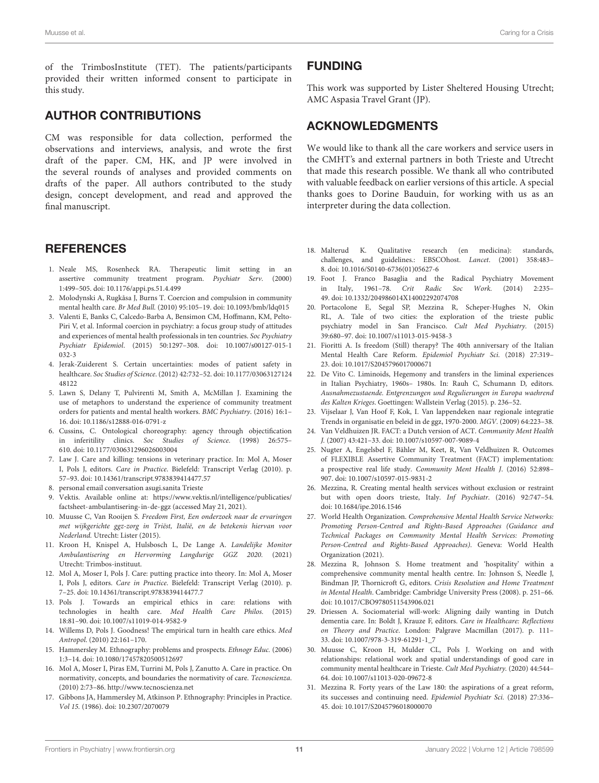of the TrimbosInstitute (TET). The patients/participants provided their written informed consent to participate in this study.

### AUTHOR CONTRIBUTIONS

CM was responsible for data collection, performed the observations and interviews, analysis, and wrote the first draft of the paper. CM, HK, and JP were involved in the several rounds of analyses and provided comments on drafts of the paper. All authors contributed to the study design, concept development, and read and approved the final manuscript.

### **REFERENCES**

- <span id="page-11-0"></span>1. Neale MS, Rosenheck RA. Therapeutic limit setting in an assertive community treatment program. Psychiatr Serv. (2000) 1:499–505. doi: [10.1176/appi.ps.51.4.499](https://doi.org/10.1176/appi.ps.51.4.499)
- <span id="page-11-1"></span>2. Molodynski A, Rugkåsa J, Burns T. Coercion and compulsion in community mental health care. Br Med Bull. (2010) 95:105–19. doi: [10.1093/bmb/ldq015](https://doi.org/10.1093/bmb/ldq015)
- <span id="page-11-2"></span>3. Valenti E, Banks C, Calcedo-Barba A, Bensimon CM, Hoffmann, KM, Pelto-Piri V, et al. Informal coercion in psychiatry: a focus group study of attitudes and experiences of mental health professionals in ten countries. Soc Psychiatry Psychiatr Epidemiol[. \(2015\) 50:1297–308. doi: 10.1007/s00127-015-1](https://doi.org/10.1007/s00127-015-1032-3) 032-3
- 4. Jerak-Zuiderent S. Certain uncertainties: modes of patient safety in healthcare. Soc Studies of Science[. \(2012\) 42:732–52. doi: 10.1177/03063127124](https://doi.org/10.1177/0306312712448122) 48122
- <span id="page-11-3"></span>5. Lawn S, Delany T, Pulvirenti M, Smith A, McMillan J. Examining the use of metaphors to understand the experience of community treatment orders for patients and mental health workers. BMC Psychiatry. (2016) 16:1– 16. doi: [10.1186/s12888-016-0791-z](https://doi.org/10.1186/s12888-016-0791-z)
- <span id="page-11-4"></span>6. Cussins, C. Ontological choreography: agency through objectification in inferitility clinics. Soc Studies of Science. (1998) 26:575– 610. doi: [10.1177/030631296026003004](https://doi.org/10.1177/030631296026003004)
- <span id="page-11-5"></span>7. Law J. Care and killing: tensions in veterinary practice. In: Mol A, Moser I, Pols J, editors. Care in Practice. Bielefeld: Transcript Verlag (2010). p. 57–93. doi: [10.14361/transcript.9783839414477.57](https://doi.org/10.14361/transcript.9783839414477.57)
- <span id="page-11-6"></span>8. personal email conversation asugi.sanita Trieste
- <span id="page-11-7"></span>9. Vektis. Available online at: [https://www.vektis.nl/intelligence/publicaties/](https://www.vektis.nl/intelligence/publicaties/factsheet-ambulantisering-in-de-ggz) [factsheet-ambulantisering-in-de-ggz](https://www.vektis.nl/intelligence/publicaties/factsheet-ambulantisering-in-de-ggz) (accessed May 21, 2021).
- <span id="page-11-8"></span>10. Muusse C, Van Rooijen S. Freedom First, Een onderzoek naar de ervaringen met wijkgerichte ggz-zorg in Triëst, Italië, en de betekenis hiervan voor Nederland. Utrecht: Lister (2015).
- <span id="page-11-9"></span>11. Kroon H, Knispel A, Hulsbosch L, De Lange A. Landelijke Monitor Ambulantisering en Hervorming Langdurige GGZ 2020. (2021) Utrecht: Trimbos-instituut.
- <span id="page-11-10"></span>12. Mol A, Moser I, Pols J. Care: putting practice into theory. In: Mol A, Moser I, Pols J, editors. Care in Practice. Bielefeld: Transcript Verlag (2010). p. 7–25. doi: [10.14361/transcript.9783839414477.7](https://doi.org/10.14361/transcript.9783839414477.7)
- <span id="page-11-14"></span>13. Pols J. Towards an empirical ethics in care: relations with technologies in health care. Med Health Care Philos. (2015) 18:81–90. doi: [10.1007/s11019-014-9582-9](https://doi.org/10.1007/s11019-014-9582-9)
- <span id="page-11-11"></span>14. Willems D, Pols J. Goodness! The empirical turn in health care ethics. Med Antropol. (2010) 22:161–170.
- <span id="page-11-12"></span>15. Hammersley M. Ethnography: problems and prospects. Ethnogr Educ. (2006) 1:3–14. doi: [10.1080/17457820500512697](https://doi.org/10.1080/17457820500512697)
- <span id="page-11-13"></span>16. Mol A, Moser I, Piras EM, Turrini M, Pols J, Zanutto A. Care in practice. On normativity, concepts, and boundaries the normativity of care. Tecnoscienza. (2010) 2:73–86.<http://www.tecnoscienza.net>
- <span id="page-11-15"></span>17. Gibbons JA, Hammersley M, Atkinson P. Ethnography: Principles in Practice. Vol 15. (1986). doi: [10.2307/2070079](https://doi.org/10.2307/2070079)

### FUNDING

This work was supported by Lister Sheltered Housing Utrecht; AMC Aspasia Travel Grant (JP).

### ACKNOWLEDGMENTS

We would like to thank all the care workers and service users in the CMHT's and external partners in both Trieste and Utrecht that made this research possible. We thank all who contributed with valuable feedback on earlier versions of this article. A special thanks goes to Dorine Bauduin, for working with us as an interpreter during the data collection.

- <span id="page-11-16"></span>18. Malterud K. Qualitative research (en medicina): standards, challenges, and guidelines.: EBSCOhost. Lancet. (2001) 358:483-8. doi: [10.1016/S0140-6736\(01\)05627-6](https://doi.org/10.1016/S0140-6736(01)05627-6)
- <span id="page-11-17"></span>19. Foot J. Franco Basaglia and the Radical Psychiatry Movement in Italy, 1961–78. Crit Radic Soc Work. (2014) 2:235– 49. doi: [10.1332/204986014X14002292074708](https://doi.org/10.1332/204986014X14002292074708)
- <span id="page-11-18"></span>20. Portacolone E, Segal SP, Mezzina R, Scheper-Hughes N, Okin RL, A. Tale of two cities: the exploration of the trieste public psychiatry model in San Francisco. Cult Med Psychiatry. (2015) 39:680–97. doi: [10.1007/s11013-015-9458-3](https://doi.org/10.1007/s11013-015-9458-3)
- <span id="page-11-19"></span>21. Fioritti A. Is freedom (Still) therapy? The 40th anniversary of the Italian Mental Health Care Reform. Epidemiol Psychiatr Sci. (2018) 27:319– 23. doi: [10.1017/S2045796017000671](https://doi.org/10.1017/S2045796017000671)
- <span id="page-11-20"></span>22. De Vito C. Liminoids, Hegemony and transfers in the liminal experiences in Italian Psychiatry, 1960s– 1980s. In: Rauh C, Schumann D, editors. Ausnahmezustaende. Entgrenzungen und Regulierungen in Europa waehrend des Kalten Krieges. Goettingen: Wallstein Verlag (2015). p. 236–52.
- <span id="page-11-21"></span>23. Vijselaar J, Van Hoof F, Kok, I. Van lappendeken naar regionale integratie Trends in organisatie en beleid in de ggz, 1970-2000. MGV. (2009) 64:223–38.
- <span id="page-11-22"></span>24. Van Veldhuizen JR. FACT: a Dutch version of ACT. Community Ment Health J. (2007) 43:421–33. doi: [10.1007/s10597-007-9089-4](https://doi.org/10.1007/s10597-007-9089-4)
- <span id="page-11-23"></span>25. Nugter A, Engelsbel F, Bähler M, Keet, R, Van Veldhuizen R. Outcomes of FLEXIBLE Assertive Community Treatment (FACT) implementation: a prospective real life study. Community Ment Health J. (2016) 52:898– 907. doi: [10.1007/s10597-015-9831-2](https://doi.org/10.1007/s10597-015-9831-2)
- <span id="page-11-24"></span>26. Mezzina, R. Creating mental health services without exclusion or restraint but with open doors trieste, Italy. Inf Psychiatr. (2016) 92:747–54. doi: [10.1684/ipe.2016.1546](https://doi.org/10.1684/ipe.2016.1546)
- <span id="page-11-25"></span>27. World Health Organization. Comprehensive Mental Health Service Networks: Promoting Person-Centred and Rights-Based Approaches (Guidance and Technical Packages on Community Mental Health Services: Promoting Person-Centred and Rights-Based Approaches). Geneva: World Health Organization (2021).
- <span id="page-11-26"></span>28. Mezzina R, Johnson S. Home treatment and 'hospitality' within a comprehensive community mental health centre. In: Johnson S, Needle J, Bindman JP, Thornicroft G, editors. Crisis Resolution and Home Treatment in Mental Health. Cambridge: Cambridge University Press (2008). p. 251–66. doi: [10.1017/CBO9780511543906.021](https://doi.org/10.1017/CBO9780511543906.021)
- <span id="page-11-27"></span>29. Driessen A. Sociomaterial will-work: Aligning daily wanting in Dutch dementia care. In: Boldt J, Krauze F, editors. Care in Healthcare: Reflections on Theory and Practice. London: Palgrave Macmillan (2017). p. 111– 33. doi: [10.1007/978-3-319-61291-1\\_7](https://doi.org/10.1007/978-3-319-61291-1_7)
- <span id="page-11-28"></span>30. Muusse C, Kroon H, Mulder CL, Pols J. Working on and with relationships: relational work and spatial understandings of good care in community mental healthcare in Trieste. Cult Med Psychiatry. (2020) 44:544– 64. doi: [10.1007/s11013-020-09672-8](https://doi.org/10.1007/s11013-020-09672-8)
- <span id="page-11-29"></span>31. Mezzina R. Forty years of the Law 180: the aspirations of a great reform, its successes and continuing need. Epidemiol Psychiatr Sci. (2018) 27:336– 45. doi: [10.1017/S2045796018000070](https://doi.org/10.1017/S2045796018000070)